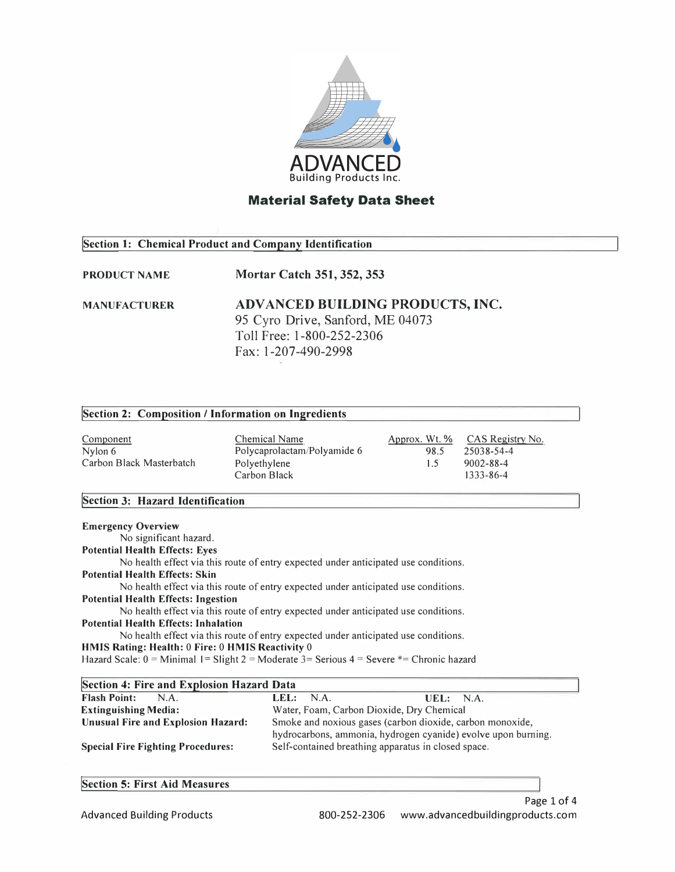

## **Section 1: Chemical Product and Company Identification**

#### **PRODUCT NAME Mortar Catch 351, 352, 353**

**MANUFACTURER ADV AN CED BUILDING PRODUCTS, INC.**  95 Cyro Drive, Sanford, ME 04073 Toll Free: 1-800-252-2306 Fax: 1-207-490-2998

### **!Section 2: Composition/ Information on Ingredients**

**Component** Nylon 6 Carbon Black Masterbatch Chemical Name Polycaprolactam/Polyamide 6 Polyethylene Carbon Black Approx. Wt. % 98.5 1.5 CAS Registry No. 25038-54-4 9002-88-4 1333-86-4

### **!Section 3: Hazard Identification**

| <b>Emergency Overview</b>                                                                         |
|---------------------------------------------------------------------------------------------------|
| No significant hazard.                                                                            |
| <b>Potential Health Effects: Eyes</b>                                                             |
| No health effect via this route of entry expected under anticipated use conditions.               |
| <b>Potential Health Effects: Skin</b>                                                             |
| No health effect via this route of entry expected under anticipated use conditions.               |
| <b>Potential Health Effects: Ingestion</b>                                                        |
| No health effect via this route of entry expected under anticipated use conditions.               |
| <b>Potential Health Effects: Inhalation</b>                                                       |
| No health effect via this route of entry expected under anticipated use conditions.               |
| HMIS Rating: Health: 0 Fire: 0 HMIS Reactivity 0                                                  |
| Hazard Scale: $0 =$ Minimal $1 =$ Slight 2 = Moderate 3 = Serious 4 = Severe $*$ = Chronic hazard |
|                                                                                                   |

| <b>Section 4: Fire and Explosion Hazard Data</b> |                                                               |          |  |  |  |  |
|--------------------------------------------------|---------------------------------------------------------------|----------|--|--|--|--|
| <b>Flash Point:</b><br>N.A.                      | LEL: N.A.                                                     | UEL: NA. |  |  |  |  |
| <b>Extinguishing Media:</b>                      | Water, Foam, Carbon Dioxide, Dry Chemical                     |          |  |  |  |  |
| <b>Unusual Fire and Explosion Hazard:</b>        | Smoke and noxious gases (carbon dioxide, carbon monoxide,     |          |  |  |  |  |
|                                                  | hydrocarbons, ammonia, hydrogen cyanide) evolve upon burning. |          |  |  |  |  |
| <b>Special Fire Fighting Procedures:</b>         | Self-contained breathing apparatus in closed space.           |          |  |  |  |  |

|  |  |  |  | <b>Section 5: First Aid Measures</b> |
|--|--|--|--|--------------------------------------|
|--|--|--|--|--------------------------------------|

Advanced Building Products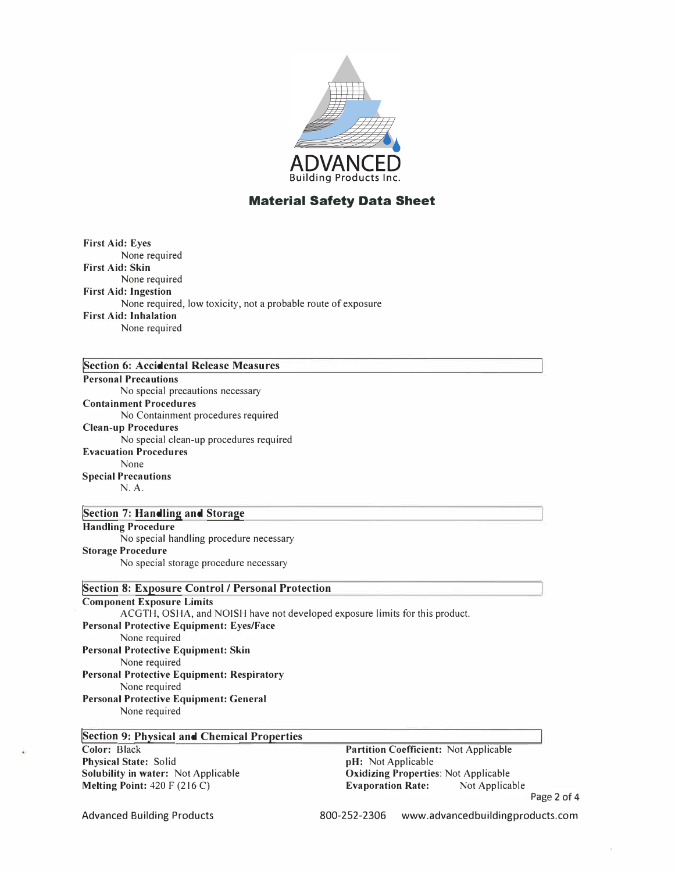

**First Aid: Eyes**  None required **First Aid: Skin**  None required **First Aid: Ingestion**  None required, low toxicity, not a probable route of exposure **First Aid: Inhalation**  None required

## **!Section 6: Accidental Release Measures**

#### **Personal Precautions**

No special precautions necessary **Containment Procedures**  No Containment procedures required **Clean-up Procedures**  No special clean-up procedures required **Evacuation Procedures**  None **Special Precautions**  N.A.

### **!Section 7: Handling and Storage Handling Procedure**  No special handling procedure necessary

**Storage Procedure**  No special storage procedure necessary

### **Section 8: Exposure Control / Personal Protection**

**Component Exposure Limits**  ACGTH, OSHA, and NOISH have not developed exposure limits for this product. **Personal Protective Equipment: Eyes/Face**  None required **Personal Protective Equipment: Skin**  None required **Personal Protective Equipment: Respiratory**  None required **Personal Protective Equipment: General**  None required

# **!Section 9: Physical and Chemical Properties Color:** Black

**Physical State:** Solid **Solubility in water:** Not Applicable **Melting Point:** 420 F (216 C)

**Partition Coefficient:** Not Applicable **pH:** Not Applicable **Oxidizing Properties:** Not Applicable **Evaporation Rate:** Not Applicable Page 2 of 4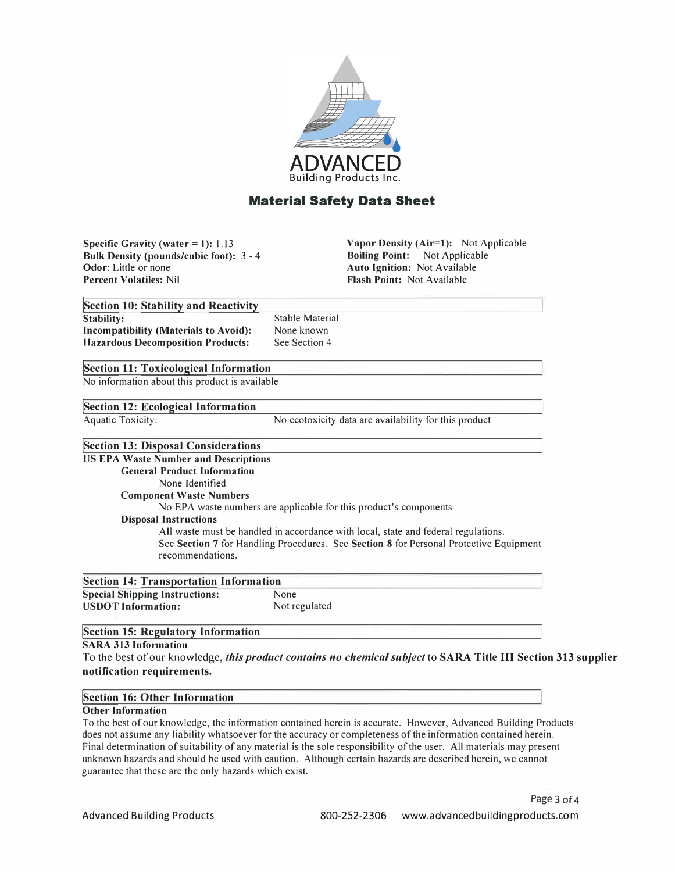

**Specific Gravity (water <sup>=</sup>1): 1.13 Bulk Density (pounds/cubic foot):** 3 - 4 **Odor:** Little or none **Percent Volatiles:** Nil

**Vapor Density (Air=l):** Not Applicable **Boiling Point:** Not Applicable **Auto Ignition:** Not Available **Flash Point:** Not Available

| Section 10: Stability and Reactivity           |                        |
|------------------------------------------------|------------------------|
| Stability:                                     | <b>Stable Material</b> |
| <b>Incompatibility (Materials to Avoid):</b>   | None known             |
| <b>Hazardous Decomposition Products:</b>       | See Section 4          |
| Section 11: Toxicological Information          |                        |
| No information about this product is available |                        |

### **!Section 12: Ecological Information**

Aquatic Toxicity:

No ecotoxicity data are availability for this product

### **!Section 13: Disposal Considerations**

**US EPA Waste Number and Descriptions General Product Information**  None Identified **Component Waste Numbers**  No EPA waste numbers are applicable for this product's components **Disposal Instructions**  All waste must be handled in accordance with local, state and federal regulations. See **Section** 7 for Handling Procedures. See **Section 8** for Personal Protective Equipment recommendations.

| <b>Section 14: Transportation Information</b> |               |  |  |  |  |
|-----------------------------------------------|---------------|--|--|--|--|
| <b>Special Shipping Instructions:</b>         | None          |  |  |  |  |
| <b>USDOT</b> Information:                     | Not regulated |  |  |  |  |

### **!section 15: Regulatory Information**

#### **SARA 313 Information**

To the best of our knowledge, *this product contains no chemical subject* to **SARA Title III Section 313 supplier notification requirements.** 

#### **!Section 16: Other Information**

#### **Other Information**

To the best of our knowledge, the information contained herein is accurate. However, Advanced Building Products does not assume any liability whatsoever for the accuracy or completeness of the information contained herein. Final determination of suitability of any material is the sole responsibility of the user. All materials may present unknown hazards and should be used with caution. Although certain hazards are described herein, we cannot guarantee that these are the only hazards which exist.